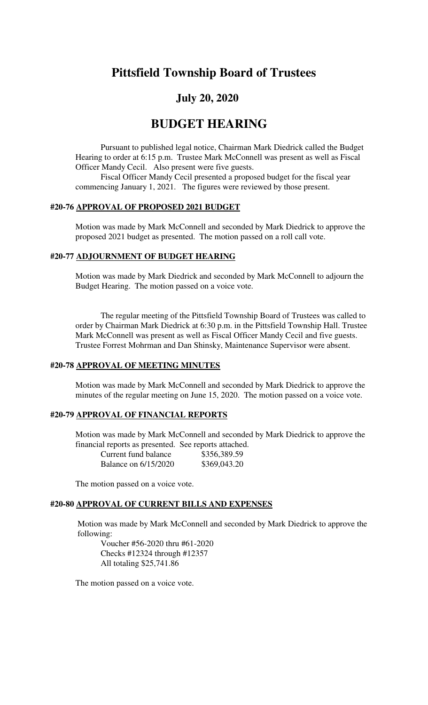# **Pittsfield Township Board of Trustees**

# **July 20, 2020**

# **BUDGET HEARING**

Pursuant to published legal notice, Chairman Mark Diedrick called the Budget Hearing to order at 6:15 p.m. Trustee Mark McConnell was present as well as Fiscal Officer Mandy Cecil. Also present were five guests.

Fiscal Officer Mandy Cecil presented a proposed budget for the fiscal year commencing January 1, 2021. The figures were reviewed by those present.

#### **#20-76 APPROVAL OF PROPOSED 2021 BUDGET**

Motion was made by Mark McConnell and seconded by Mark Diedrick to approve the proposed 2021 budget as presented. The motion passed on a roll call vote.

#### **#20-77 ADJOURNMENT OF BUDGET HEARING**

Motion was made by Mark Diedrick and seconded by Mark McConnell to adjourn the Budget Hearing. The motion passed on a voice vote.

The regular meeting of the Pittsfield Township Board of Trustees was called to order by Chairman Mark Diedrick at 6:30 p.m. in the Pittsfield Township Hall. Trustee Mark McConnell was present as well as Fiscal Officer Mandy Cecil and five guests. Trustee Forrest Mohrman and Dan Shinsky, Maintenance Supervisor were absent.

#### **#20-78 APPROVAL OF MEETING MINUTES**

Motion was made by Mark McConnell and seconded by Mark Diedrick to approve the minutes of the regular meeting on June 15, 2020. The motion passed on a voice vote.

## **#20-79 APPROVAL OF FINANCIAL REPORTS**

 Motion was made by Mark McConnell and seconded by Mark Diedrick to approve the financial reports as presented. See reports attached.

| Current fund balance        | \$356,389.59 |
|-----------------------------|--------------|
| <b>Balance on 6/15/2020</b> | \$369,043.20 |

The motion passed on a voice vote.

#### **#20-80 APPROVAL OF CURRENT BILLS AND EXPENSES**

Motion was made by Mark McConnell and seconded by Mark Diedrick to approve the following:

Voucher #56-2020 thru #61-2020 Checks #12324 through #12357 All totaling \$25,741.86

The motion passed on a voice vote.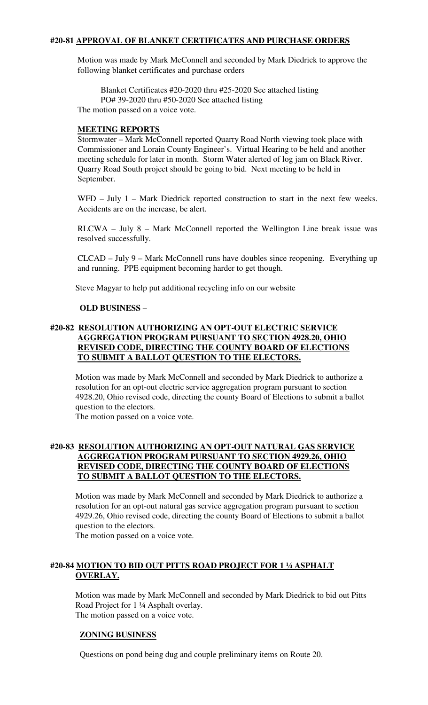### **#20-81 APPROVAL OF BLANKET CERTIFICATES AND PURCHASE ORDERS**

Motion was made by Mark McConnell and seconded by Mark Diedrick to approve the following blanket certificates and purchase orders

 Blanket Certificates #20-2020 thru #25-2020 See attached listing PO# 39-2020 thru #50-2020 See attached listing The motion passed on a voice vote.

#### **MEETING REPORTS**

Stormwater – Mark McConnell reported Quarry Road North viewing took place with Commissioner and Lorain County Engineer's. Virtual Hearing to be held and another meeting schedule for later in month. Storm Water alerted of log jam on Black River. Quarry Road South project should be going to bid. Next meeting to be held in September.

WFD – July 1 – Mark Diedrick reported construction to start in the next few weeks. Accidents are on the increase, be alert.

RLCWA – July 8 – Mark McConnell reported the Wellington Line break issue was resolved successfully.

CLCAD – July 9 – Mark McConnell runs have doubles since reopening. Everything up and running. PPE equipment becoming harder to get though.

Steve Magyar to help put additional recycling info on our website

#### **OLD BUSINESS** –

## **#20-82 RESOLUTION AUTHORIZING AN OPT-OUT ELECTRIC SERVICE AGGREGATION PROGRAM PURSUANT TO SECTION 4928.20, OHIO REVISED CODE, DIRECTING THE COUNTY BOARD OF ELECTIONS TO SUBMIT A BALLOT QUESTION TO THE ELECTORS.**

Motion was made by Mark McConnell and seconded by Mark Diedrick to authorize a resolution for an opt-out electric service aggregation program pursuant to section 4928.20, Ohio revised code, directing the county Board of Elections to submit a ballot question to the electors.

The motion passed on a voice vote.

## **#20-83 RESOLUTION AUTHORIZING AN OPT-OUT NATURAL GAS SERVICE AGGREGATION PROGRAM PURSUANT TO SECTION 4929.26, OHIO REVISED CODE, DIRECTING THE COUNTY BOARD OF ELECTIONS TO SUBMIT A BALLOT QUESTION TO THE ELECTORS.**

Motion was made by Mark McConnell and seconded by Mark Diedrick to authorize a resolution for an opt-out natural gas service aggregation program pursuant to section 4929.26, Ohio revised code, directing the county Board of Elections to submit a ballot question to the electors.

The motion passed on a voice vote.

## **#20-84 MOTION TO BID OUT PITTS ROAD PROJECT FOR 1 ¼ ASPHALT OVERLAY.**

Motion was made by Mark McConnell and seconded by Mark Diedrick to bid out Pitts Road Project for 1 ¼ Asphalt overlay. The motion passed on a voice vote.

## **ZONING BUSINESS**

Questions on pond being dug and couple preliminary items on Route 20.